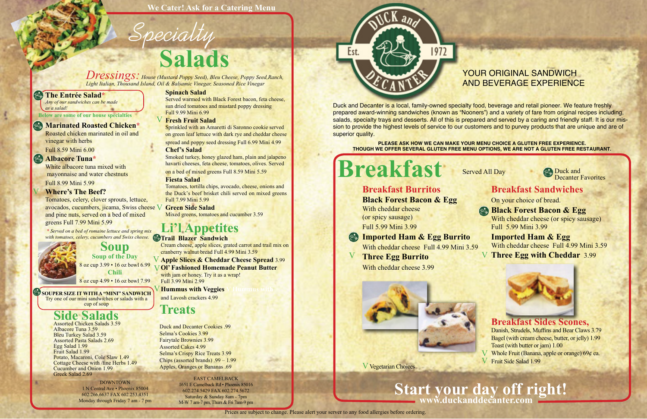#### YOUR ORIGINAL SANDWICH AND BEVERAGE EXPERIENCE

Duck and Decanter is a local, family-owned specialty food, beverage and retail pioneer. We feature freshly prepared award-winning sandwiches (known as "Nooners") and a variety of fare from original recipes including, salads, specialty trays and desserts. All of this is prepared and served by a caring and friendly staff. It is our mission to provide the highest levels of service to our customers and to purvey products that are unique and are of superior quality.

**PLEASE ASK HOW WE CAN MAKE YOUR MENU CHOICE A GLUTEN FREE EXPERIENCE. THOUGH WE OFFER SEVERAL GLUTEN FREE MENU OPTIONS, WE ARE NOT A GLUTEN FREE RESTAURANT.**



# **Breakfast**

### **Breakfast Burritos**

Served All Day Duck and Decanter Favorites

**Black Forest Bacon & Egg** With cheddar cheese (or spicy sausage) Full 5.99 Mini 3.99

## **Imported Ham & Egg Burrito**

With cheddar cheese Full 4.99 Mini 3.59

White albacore tuna mixed with mayonnaise and water chestnuts Full 8.99 Mini 5.99

#### **Three Egg Burrito**

With cheddar cheese 3.99





V Vegetarian Choices



#### **Breakfast Sandwiches**

On your choice of bread.

**Black Forest Bacon & Egg** With cheddar cheese (or spicy sausage) Full 5.99 Mini 3.99

**Imported Ham & Egg** With cheddar cheese Full 4.99 Mini 3.59 **Three Egg with Cheddar** 3.99



with jam or honey. Try it as a wrap! Full 3.99 Mini 2.99

**Hummus with Veggies** and Lavosh crackers 4.99

## **www.duckanddecanter.com Start your day off right!**

#### **The Entrée Salad\***

*Any of our sandwiches can be made as a salad!*

#### **Marinated Roasted Chicken\***

Roasted chicken marinated in oil and vinegar with herbs

Full 8.59 Mini 6.00

#### **Albacore Tuna\***

#### **Where's The Beef?**

Tomatoes, celery, clover sprouts, lettuce, avocados, cucumbers, jicama, Swiss cheese **Green Side Salad** V and pine nuts, served on a bed of mixed greens Full 7.99 Mini 5.99

# **Soup Soup of the Day**

*\* Served on a bed of romaine lettuce and spring mix with tomatoes, celery, cucumbers and Swiss cheese.* **Trail Blazer Sandwich** 

## **Li'l Appetites**

# **Salads** Specialty

Cream cheese, apple slices, grated carrot and trail mix on cranberry walnut bread Full 4.99 Mini 3.59

## **Apple Slices & Cheddar Cheese Spread** 3.99

## **Treats**

Duck and Decanter Cookies .99 Selma's Cookies 3.99 Fairytale Brownies 3.99 Assorted Cakes 4.99 Selma's Crispy Rice Treats 3.99 Chips (assorted brands) .99 – 1.99 Apples, Oranges or Bananas .69

## **Side Salads** Assorted Chicken Salads 3.59

**Breakfast Sides Scones,**  Danish, Strudels, Muffins and Bear Claws 3.79 Bagel (with cream cheese, butter, or jelly) 1.99 Toast (with butter or jam) 1.00 Whole Fruit (Banana, apple or orange) 69¢ ea. Fruit Side Salad 1.99 V

Albacore Tuna 3.59 Bleu Turkey Salad 3.59 Assorted Pasta Salads 2.69 Egg Salad 1.99 Fruit Salad 1.99 Potato, Macaroni, Cole Slaw 1.49 Cottage Cheese with /fine Herbs 1.49 Cucumber and Onion 1.99 Greek Salad 2.69

#### **Spinach Salad**

Served warmed with Black Forest bacon, feta cheese, sun dried tomatoes and mustard poppy dressing Full 9.99 Mini 6.99

Sprinkled with an Amaretti di Saronno cookie served on green leaf lettuce with dark rye and cheddar cheese spread and poppy seed dressing Full 6.99 Mini 4.99

8 oz cup 3.99 • 16 oz bowl 6.99 **Chili** 8 oz cup 4.99 • 16 oz bowl 7.99 V

#### **Chef's Salad**

#### **Ol' Fashioned Homemade Peanut Butter** V

Smoked turkey, honey glazed ham, plain and jalapeno havarti cheeses, feta cheese, tomatoes, olives. Served on a bed of mixed greens Full 8.59 Mini 5.59

#### **Fiesta Salad**

Tomatoes, tortilla chips, avocado, cheese, onions and the Duck's beef brisket chili served on mixed greens Full 7.99 Mini 5.99

Mixed greens, tomatoes and cucumber 3.59

#### **Fresh Fruit Salad**  V

*Dressings: House (Mustard Poppy Seed), Bleu Cheese, Poppy Seed,Ranch, Light Italian, Thousand Island, Oil & Balsamic Vinegar, Seasoned Rice Vinegar*

> EAST CAMELBACK 1651 E Camelback Rd • Phoenix 85016 602.274.5429 FAX 602.274.5672 Saturday & Sunday 8am - 7pm M-W 7 am-7 pm, Thurs & Fri 7am-9 pm



DOWNTOWN 1 N Central Ave • Phoenix 85004 602.266.6637 FAX 602.253.4351 Monday through Friday 7 am - 7 pm

**SOUPER SIZE IT WITH A "MINI" SANDWICH** Try one of our mini sandwiches or salads with a cup of soup

**We Cater! Ask for a Catering Menu**

**Below are some of our house specialties**

Prices are subject to change. Please alert your server to any food allergies before ordering.

V

V